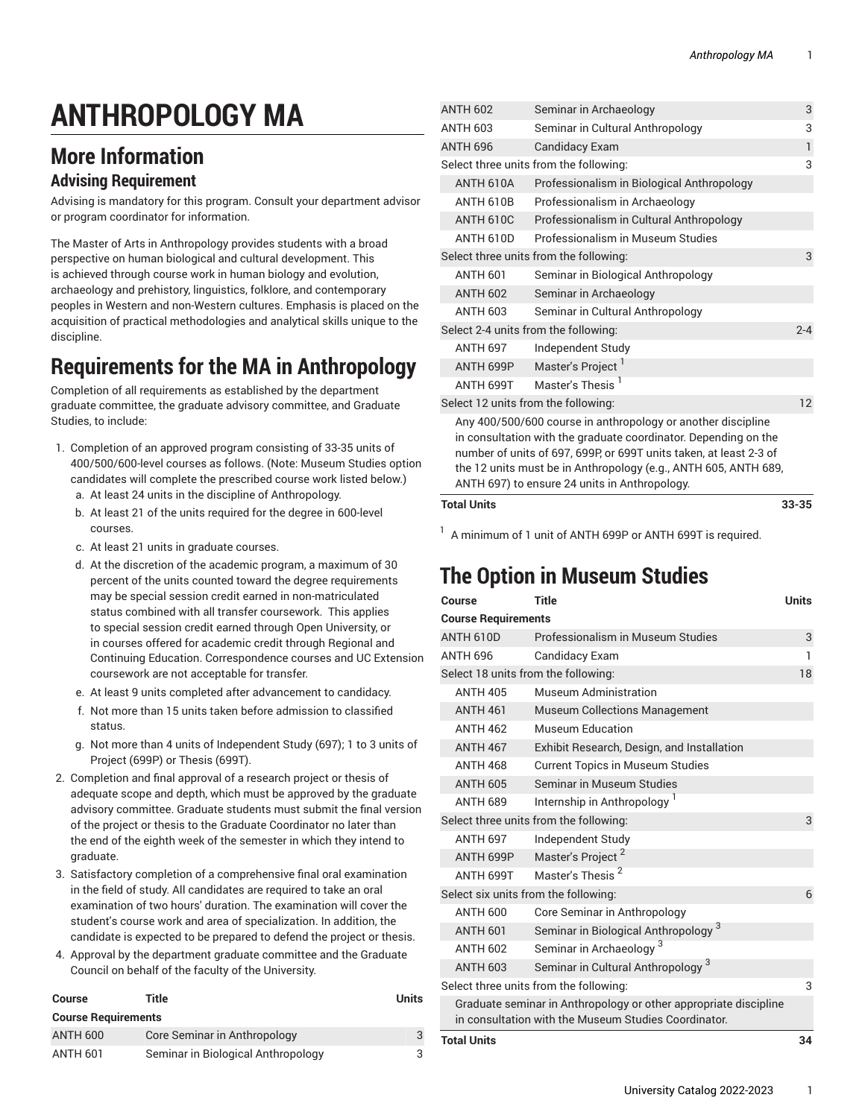# **ANTHROPOLOGY MA**

## **More Information**

#### **Advising Requirement**

Advising is mandatory for this program. Consult your department advisor or program coordinator for information.

The Master of Arts in Anthropology provides students with a broad perspective on human biological and cultural development. This is achieved through course work in human biology and evolution, archaeology and prehistory, linguistics, folklore, and contemporary peoples in Western and non-Western cultures. Emphasis is placed on the acquisition of practical methodologies and analytical skills unique to the discipline.

#### **Requirements for the MA in Anthropology**

Completion of all requirements as established by the department graduate committee, the graduate advisory committee, and Graduate Studies, to include:

- 1. Completion of an approved program consisting of 33-35 units of 400/500/600-level courses as follows. (Note: Museum Studies option candidates will complete the prescribed course work listed below.) a. At least 24 units in the discipline of Anthropology.
	- b. At least 21 of the units required for the degree in 600-level courses.
	- c. At least 21 units in graduate courses.
	- d. At the discretion of the academic program, a maximum of 30 percent of the units counted toward the degree requirements may be special session credit earned in non-matriculated status combined with all transfer coursework. This applies to special session credit earned through Open University, or in courses offered for academic credit through Regional and Continuing Education. Correspondence courses and UC Extension coursework are not acceptable for transfer.
	- e. At least 9 units completed after advancement to candidacy.
	- f. Not more than 15 units taken before admission to classified status.
	- g. Not more than 4 units of Independent Study (697); 1 to 3 units of Project (699P) or Thesis (699T).
- 2. Completion and final approval of a research project or thesis of adequate scope and depth, which must be approved by the graduate advisory committee. Graduate students must submit the final version of the project or thesis to the Graduate Coordinator no later than the end of the eighth week of the semester in which they intend to graduate.
- 3. Satisfactory completion of a comprehensive final oral examination in the field of study. All candidates are required to take an oral examination of two hours' duration. The examination will cover the student's course work and area of specialization. In addition, the candidate is expected to be prepared to defend the project or thesis.
- 4. Approval by the department graduate committee and the Graduate Council on behalf of the faculty of the University.

| Course                     | Title                              | Units |
|----------------------------|------------------------------------|-------|
| <b>Course Requirements</b> |                                    |       |
| <b>ANTH 600</b>            | Core Seminar in Anthropology       | 3     |
| ANTH 601                   | Seminar in Biological Anthropology | 3     |

| <b>ANTH 602</b>                        | Seminar in Archaeology                                                                                                                                                                                                                                                                                                    | 3 |  |
|----------------------------------------|---------------------------------------------------------------------------------------------------------------------------------------------------------------------------------------------------------------------------------------------------------------------------------------------------------------------------|---|--|
| <b>ANTH 603</b>                        | Seminar in Cultural Anthropology                                                                                                                                                                                                                                                                                          | 3 |  |
| <b>ANTH 696</b>                        | <b>Candidacy Exam</b>                                                                                                                                                                                                                                                                                                     | 1 |  |
|                                        | Select three units from the following:                                                                                                                                                                                                                                                                                    |   |  |
| <b>ANTH 610A</b>                       | Professionalism in Biological Anthropology                                                                                                                                                                                                                                                                                |   |  |
| <b>ANTH 610B</b>                       | Professionalism in Archaeology                                                                                                                                                                                                                                                                                            |   |  |
| ANTH 610C                              | Professionalism in Cultural Anthropology                                                                                                                                                                                                                                                                                  |   |  |
| <b>ANTH 610D</b>                       | Professionalism in Museum Studies                                                                                                                                                                                                                                                                                         |   |  |
| Select three units from the following: |                                                                                                                                                                                                                                                                                                                           |   |  |
| <b>ANTH 601</b>                        | Seminar in Biological Anthropology                                                                                                                                                                                                                                                                                        |   |  |
| <b>ANTH 602</b>                        | Seminar in Archaeology                                                                                                                                                                                                                                                                                                    |   |  |
| <b>ANTH 603</b>                        | Seminar in Cultural Anthropology                                                                                                                                                                                                                                                                                          |   |  |
| Select 2-4 units from the following:   |                                                                                                                                                                                                                                                                                                                           |   |  |
| <b>ANTH 697</b>                        | Independent Study                                                                                                                                                                                                                                                                                                         |   |  |
| ANTH 699P                              | Master's Project                                                                                                                                                                                                                                                                                                          |   |  |
| ANTH 699T                              | Master's Thesis <sup>1</sup>                                                                                                                                                                                                                                                                                              |   |  |
| Select 12 units from the following:    |                                                                                                                                                                                                                                                                                                                           |   |  |
|                                        | Any 400/500/600 course in anthropology or another discipline<br>in consultation with the graduate coordinator. Depending on the<br>number of units of 697, 699P, or 699T units taken, at least 2-3 of<br>the 12 units must be in Anthropology (e.g., ANTH 605, ANTH 689,<br>ANTH 697) to ensure 24 units in Anthropology. |   |  |

#### **Total Units 33-35**

<sup>1</sup> A minimum of 1 unit of ANTH 699P or ANTH 699T is required.

#### **The Option in Museum Studies**

| Course                                                           | <b>Title</b>                                    | <b>Units</b> |  |  |
|------------------------------------------------------------------|-------------------------------------------------|--------------|--|--|
| <b>Course Requirements</b>                                       |                                                 |              |  |  |
| <b>ANTH 610D</b>                                                 | Professionalism in Museum Studies               | 3            |  |  |
| <b>ANTH 696</b>                                                  | Candidacy Exam                                  | 1            |  |  |
| Select 18 units from the following:                              |                                                 |              |  |  |
| <b>ANTH 405</b>                                                  | Museum Administration                           |              |  |  |
| <b>ANTH 461</b>                                                  | <b>Museum Collections Management</b>            |              |  |  |
| <b>ANTH 462</b>                                                  | Museum Education                                |              |  |  |
| <b>ANTH 467</b>                                                  | Exhibit Research, Design, and Installation      |              |  |  |
| <b>ANTH 468</b>                                                  | <b>Current Topics in Museum Studies</b>         |              |  |  |
| <b>ANTH 605</b>                                                  | Seminar in Museum Studies                       |              |  |  |
| ANTH 689                                                         | Internship in Anthropology <sup>1</sup>         |              |  |  |
| Select three units from the following:                           |                                                 |              |  |  |
| <b>ANTH 697</b>                                                  | Independent Study                               |              |  |  |
| ANTH 699P                                                        | Master's Project <sup>2</sup>                   |              |  |  |
| ANTH 699T                                                        | Master's Thesis <sup>2</sup>                    |              |  |  |
| Select six units from the following:                             |                                                 |              |  |  |
| <b>ANTH 600</b>                                                  | Core Seminar in Anthropology                    |              |  |  |
| <b>ANTH 601</b>                                                  | Seminar in Biological Anthropology <sup>3</sup> |              |  |  |
| <b>ANTH 602</b>                                                  | Seminar in Archaeology <sup>3</sup>             |              |  |  |
| <b>ANTH 603</b>                                                  | Seminar in Cultural Anthropology <sup>3</sup>   |              |  |  |
| Select three units from the following:                           |                                                 |              |  |  |
| Graduate seminar in Anthropology or other appropriate discipline |                                                 |              |  |  |
| in consultation with the Museum Studies Coordinator.             |                                                 |              |  |  |
| <b>Total Units</b>                                               |                                                 | 34           |  |  |